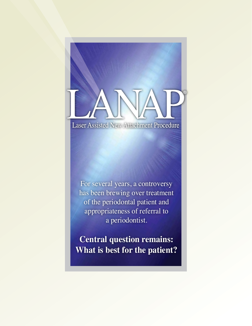# **Laser Assisted New Attachment Procedure**

For several years, a controversy has been brewing over treatment of the periodontal patient and appropriateness of referral to a periodontist.

**Central question remains: What is best for the patient?**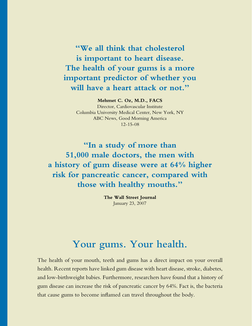**"We all think that cholesterol is important to heart disease. The health of your gums is a more important predictor of whether you will have a heart attack or not."**

#### **Mehmet C. Oz, M.D., FACS**

Director, Cardiovascular Institute Columbia University Medical Center, New York, NY ABC News, Good Morning America 12-15-08

**"In a study of more than 51,000 male doctors, the men with a history of gum disease were at 64% higher risk for pancreatic cancer, compared with those with healthy mouths."**

> **The Wall Street Journal** January 23, 2007

# **Your gums. Your health.**

The health of your mouth, teeth and gums has a direct impact on your overall health. Recent reports have linked gum disease with heart disease, stroke, diabetes, and low-birthweight babies. Furthermore, researchers have found that a history of gum disease can increase the risk of pancreatic cancer by 64%. Fact is, the bacteria that cause gums to become inflamed can travel throughout the body.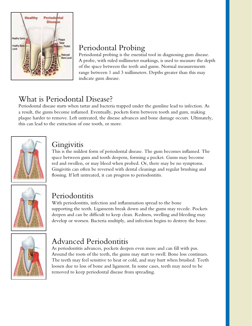

## Periodontal Probing

Periodontal probing is the essential tool in diagnosing gum disease. A probe, with ruled millimeter markings, is used to measure the depth of the space between the teeth and gums. Normal measurements range between 1 and 3 millimeters. Depths greater than this may indicate gum disease.

## What is Periodontal Disease?

Periodontal disease starts when tartar and bacteria trapped under the gumline lead to infection. As a result, the gums become inflamed. Eventually, pockets form between tooth and gum, making plaque harder to remove. Left untreated, the disease advances and bone damage occurs. Ultimately, this can lead to the extraction of one tooth, or more.



## Gingivitis

This is the mildest form of periodontal disease. The gum becomes inflamed. The space between gum and tooth deepens, forming a pocket. Gums may become red and swollen, or may bleed when probed. Or, there may be no symptoms. Gingivitis can often be reversed with dental cleanings and regular brushing and flossing. If left untreated, it can progress to periodontitis.



## Periodontitis

With periodontitis, infection and inflammation spread to the bone supporting the teeth. Ligaments break down and the gums may recede. Pockets deepen and can be difficult to keep clean. Redness, swelling and bleeding may develop or worsen. Bacteria multiply, and infection begins to destroy the bone.



# Advanced Periodontitis

As periodontitis advances, pockets deepen even more and can fill with pus. Around the roots of the teeth, the gums may start to swell. Bone loss continues. The teeth may feel sensitive to heat or cold, and may hurt when brushed. Teeth loosen due to loss of bone and ligament. In some cases, teeth may need to be removed to keep periodontal disease from spreading.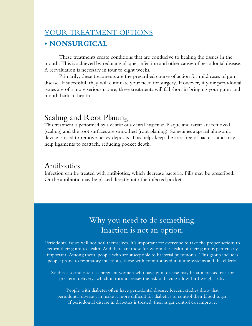## YOUR TREATMENT OPTIONS

### **• NONSURGICAL**

These treatments create conditions that are conducive to healing the tissues in the mouth. This is achieved by reducing plaque, infection and other causes of periodontal disease. A reevaluation is necessary in four to eight weeks.

Primarily, these treatments are the prescribed course of action for mild cases of gum disease. If successful, they will eliminate your need for surgery. However, if your periodontal issues are of a more serious nature, these treatments will fall short in bringing your gums and mouth back to health.

## Scaling and Root Planing

This treatment is performed by a dentist or a dental hygienist. Plaque and tartar are removed (scaling) and the root surfaces are smoothed (root planing). Sometimes a special ultrasonic device is used to remove heavy deposits. This helps keep the area free of bacteria and may help ligaments to reattach, reducing pocket depth.

## Antibiotics

Infection can be treated with antibiotics, which decrease bacteria. Pills may be prescribed. Or the antibiotic may be placed directly into the infected pocket.

## Why you need to do something. Inaction is not an option.

Periodontal issues will not heal themselves. It's important for everyone to take the proper actions to return their gums to health. And there are those for whom the health of their gums is particularly important. Among them, people who are susceptible to bacterial pneumonia. This group includes people prone to respiratory infections, those with compromised immune systems and the elderly.

Studies also indicate that pregnant women who have gum disease may be at increased risk for pre-term delivery, which in turn increases the risk of having a low-birthweight baby.

People with diabetes often have periodontal disease. Recent studies show that periodontal disease can make it more difficult for diabetics to control their blood sugar. If periodontal disease in diabetics is treated, their sugar control can improve.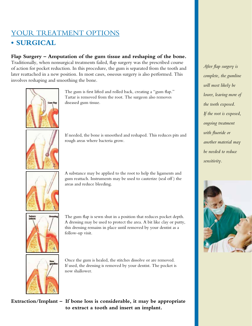## YOUR TREATMENT OPTIONS **• SURGICAL**

#### **Flap Surgery – Amputation of the gum tissue and reshaping of the bone.**

Traditionally, when nonsurgical treatments failed, flap surgery was the prescribed course of action for pocket reduction. In this procedure, the gum is separated from the tooth and later reattached in a new position. In most cases, osseous surgery is also performed. This involves reshaping and smoothing the bone.



The gum is first lifted and rolled back, creating a "gum flap." Tartar is removed from the root. The surgeon also removes diseased gum tissue.



If needed, the bone is smoothed and reshaped. This reduces pits and rough areas where bacteria grow.



A substance may be applied to the root to help the ligaments and gum reattach. Instruments may be used to cauterize (seal off ) the areas and reduce bleeding.



The gum flap is sewn shut in a position that reduces pocket depth. A dressing may be used to protect the area. A bit like clay or putty, this dressing remains in place until removed by your dentist as a follow-up visit.



Once the gum is healed, the stitches dissolve or are removed. If used, the dressing is removed by your dentist. The pocket is now shallower.

**Extraction/Implant – If bone loss is considerable, it may be appropriate to extract a tooth and insert an implant.**

*After flap surgery is complete, the gumline will most likely be lower, leaving more of the tooth exposed. If the root is exposed, ongoing treatment with fluoride or another material may be needed to reduce sensitivity.*

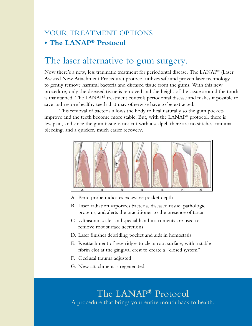## YOUR TREATMENT OPTIONS **• The LANAP® Protocol**

# The laser alternative to gum surgery.

Now there's a new, less traumatic treatment for periodontal disease. The LANAP® (Laser Assisted New Attachment Procedure) protocol utilizes safe and proven laser technology to gently remove harmful bacteria and diseased tissue from the gums. With this new procedure, only the diseased tissue is removed and the height of the tissue around the tooth is maintained. The LANAP® treatment controls periodontal disease and makes it possible to save and restore healthy teeth that may otherwise have to be extracted.

This removal of bacteria allows the body to heal naturally so the gum pockets improve and the teeth become more stable. But, with the LANAP® protocol, there is less pain, and since the gum tissue is not cut with a scalpel, there are no stitches, minimal bleeding, and a quicker, much easier recovery.



- A. Perio probe indicates excessive pocket depth
- B. Laser radiation vaporizes bacteria, diseased tissue, pathologic proteins, and alerts the practitioner to the presence of tartar
- C. Ultrasonic scaler and special hand instruments are used to remove root surface accretions
- D. Laser finishes debriding pocket and aids in hemostasis
- E. Reattachment of rete ridges to clean root surface, with a stable fibrin clot at the gingival crest to create a "closed system"
- F. Occlusal trauma adjusted
- G. New attachment is regenerated

The LANAP® Protocol A procedure that brings your entire mouth back to health.